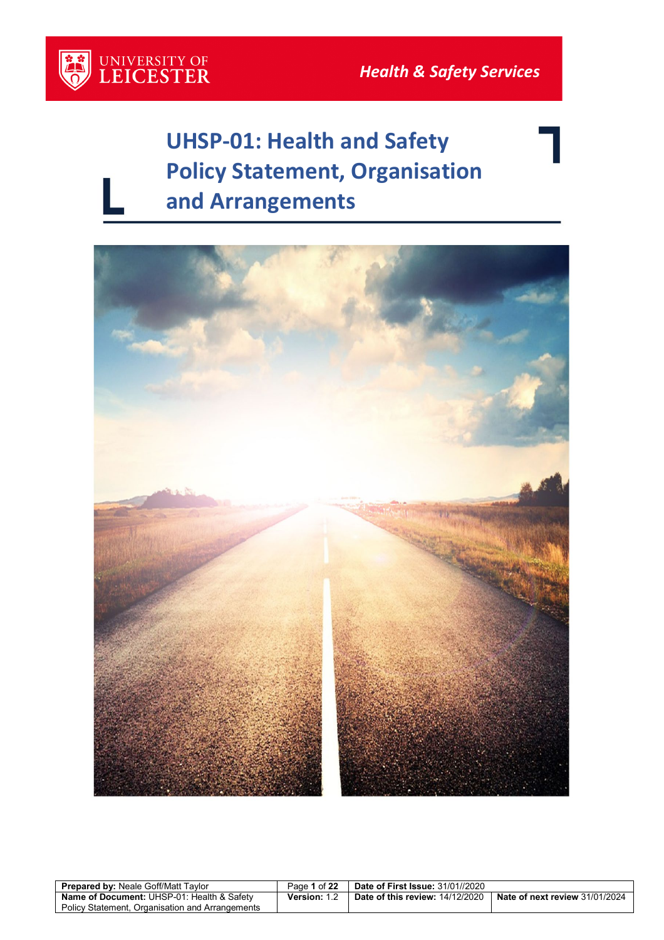## **UHSP-01: Health and Safety Policy Statement, Organisation and Arrangements**



| <b>Prepared by: Neale Goff/Matt Tavlor</b>            | Page 1 of 22        | <b>Date of First Issue: 31/01//2020</b> |                                               |
|-------------------------------------------------------|---------------------|-----------------------------------------|-----------------------------------------------|
| <b>Name of Document: UHSP-01: Health &amp; Safety</b> | <b>Version:</b> 1.2 | <b>Date of this review: 14/12/2020</b>  | $\blacksquare$ Nate of next review 31/01/2024 |
| Policy Statement. Organisation and Arrangements       |                     |                                         |                                               |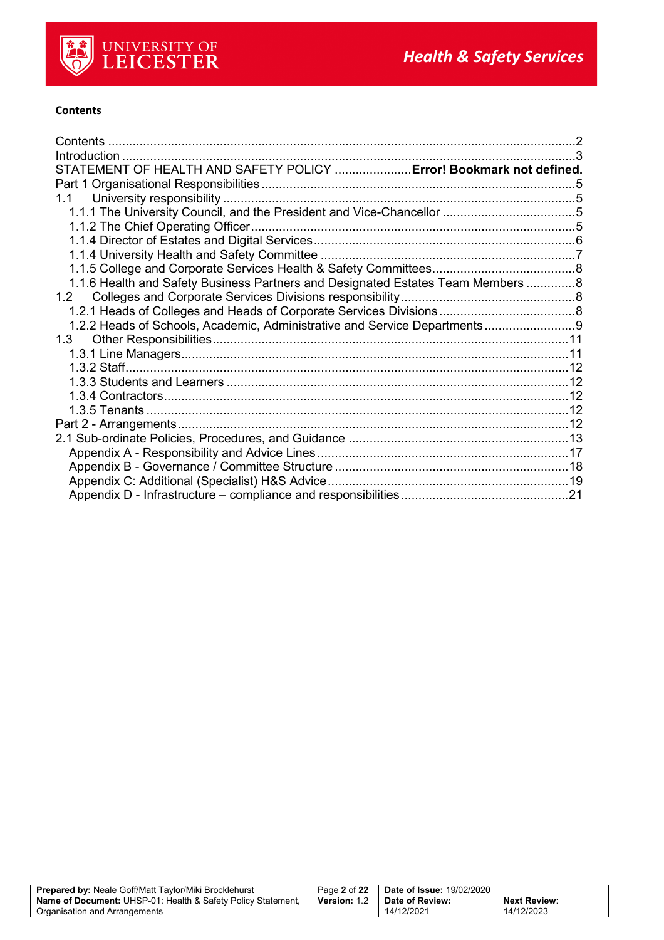

#### <span id="page-1-0"></span>**Contents**

| STATEMENT OF HEALTH AND SAFETY POLICY  Error! Bookmark not defined.             |  |
|---------------------------------------------------------------------------------|--|
|                                                                                 |  |
|                                                                                 |  |
|                                                                                 |  |
|                                                                                 |  |
|                                                                                 |  |
|                                                                                 |  |
|                                                                                 |  |
| 1.1.6 Health and Safety Business Partners and Designated Estates Team Members 8 |  |
|                                                                                 |  |
|                                                                                 |  |
| 1.2.2 Heads of Schools, Academic, Administrative and Service Departments        |  |
|                                                                                 |  |
|                                                                                 |  |
|                                                                                 |  |
|                                                                                 |  |
|                                                                                 |  |
|                                                                                 |  |
|                                                                                 |  |
|                                                                                 |  |
|                                                                                 |  |
|                                                                                 |  |
|                                                                                 |  |
|                                                                                 |  |

| <b>Prepared by: Neale Goff/Matt Taylor/Miki Brocklehurst</b>            | Page 2 of 22 | <b>Date of Issue: 19/02/2020</b> |                     |
|-------------------------------------------------------------------------|--------------|----------------------------------|---------------------|
| <b>Name of Document: UHSP-01: Health &amp; Safety Policy Statement,</b> | Version: 1.2 | Date of Review:                  | <b>Next Review:</b> |
| Organisation and Arrangements                                           |              | 14/12/2021                       | 14/12/2023          |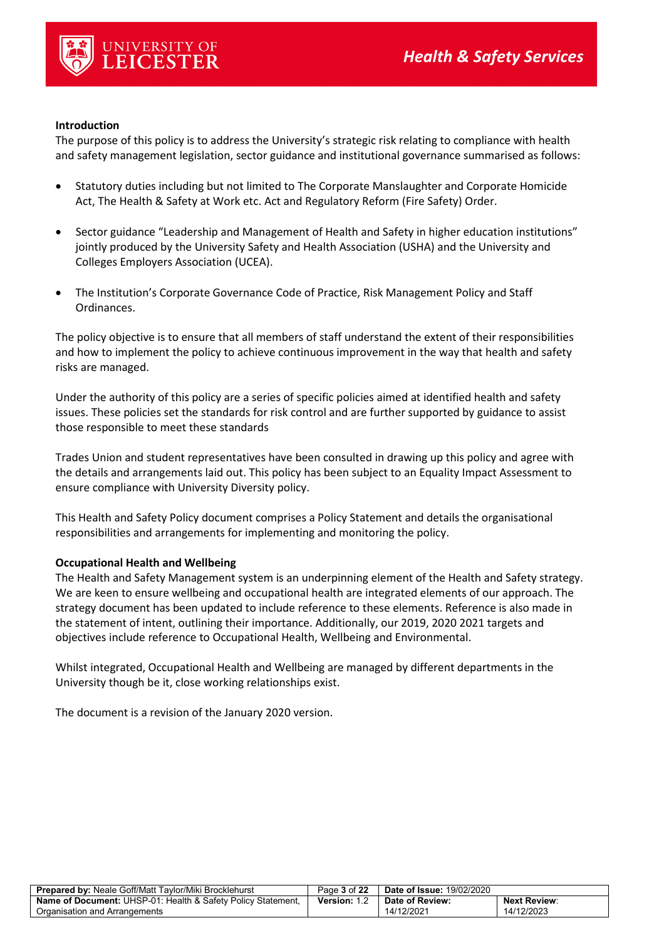

#### <span id="page-2-0"></span>**Introduction**

The purpose of this policy is to address the University's strategic risk relating to compliance with health and safety management legislation, sector guidance and institutional governance summarised as follows:

- Statutory duties including but not limited to The Corporate Manslaughter and Corporate Homicide Act, The Health & Safety at Work etc. Act and Regulatory Reform (Fire Safety) Order.
- Sector guidance "Leadership and Management of Health and Safety in higher education institutions" jointly produced by the University Safety and Health Association (USHA) and the University and Colleges Employers Association (UCEA).
- The Institution's Corporate Governance Code of Practice, Risk Management Policy and Staff Ordinances.

The policy objective is to ensure that all members of staff understand the extent of their responsibilities and how to implement the policy to achieve continuous improvement in the way that health and safety risks are managed.

Under the authority of this policy are a series of specific policies aimed at identified health and safety issues. These policies set the standards for risk control and are further supported by guidance to assist those responsible to meet these standards

Trades Union and student representatives have been consulted in drawing up this policy and agree with the details and arrangements laid out. This policy has been subject to an Equality Impact Assessment to ensure compliance with University Diversity policy.

This Health and Safety Policy document comprises a Policy Statement and details the organisational responsibilities and arrangements for implementing and monitoring the policy.

#### **Occupational Health and Wellbeing**

The Health and Safety Management system is an underpinning element of the Health and Safety strategy. We are keen to ensure wellbeing and occupational health are integrated elements of our approach. The strategy document has been updated to include reference to these elements. Reference is also made in the statement of intent, outlining their importance. Additionally, our 2019, 2020 2021 targets and objectives include reference to Occupational Health, Wellbeing and Environmental.

Whilst integrated, Occupational Health and Wellbeing are managed by different departments in the University though be it, close working relationships exist.

The document is a revision of the January 2020 version.

| <b>Prepared by: Neale Goff/Matt Taylor/Miki Brocklehurst</b>            | Page 3 of 22        | <b>Date of Issue: 19/02/2020</b> |                     |
|-------------------------------------------------------------------------|---------------------|----------------------------------|---------------------|
| <b>Name of Document: UHSP-01: Health &amp; Safety Policy Statement.</b> | <b>Version: 1.2</b> | Date of Review:                  | <b>Next Review:</b> |
| Organisation and Arrangements                                           |                     | 14/12/2021                       | 14/12/2023          |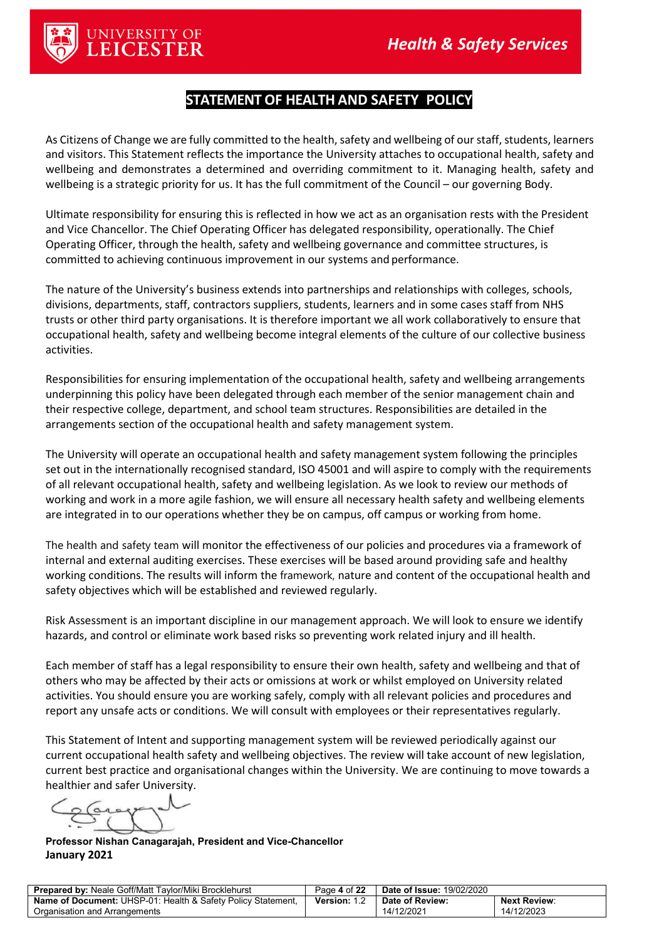

## **STATEMENT OF HEALTH AND SAFETY POLICY**

As Citizens of Change we are fully committed to the health, safety and wellbeing of our staff, students, learners and visitors. This Statement reflects the importance the University attaches to occupational health, safety and wellbeing and demonstrates a determined and overriding commitment to it. Managing health, safety and wellbeing is a strategic priority for us. It has the full commitment of the Council – our governing Body.

Ultimate responsibility for ensuring this is reflected in how we act as an organisation rests with the President and Vice Chancellor. The Chief Operating Officer has delegated responsibility, operationally. The Chief Operating Officer, through the health, safety and wellbeing governance and committee structures, is committed to achieving continuous improvement in our systems and performance.

The nature of the University's business extends into partnerships and relationships with colleges, schools, divisions, departments, staff, contractors suppliers, students, learners and in some cases staff from NHS trusts or other third party organisations. It is therefore important we all work collaboratively to ensure that occupational health, safety and wellbeing become integral elements of the culture of our collective business activities.

Responsibilities for ensuring implementation of the occupational health, safety and wellbeing arrangements underpinning this policy have been delegated through each member of the senior management chain and their respective college, department, and school team structures. Responsibilities are detailed in the arrangements section of the occupational health and safety management system.

The University will operate an occupational health and safety management system following the principles set out in the internationally recognised standard, ISO 45001 and will aspire to comply with the requirements of all relevant occupational health, safety and wellbeing legislation. As we look to review our methods of working and work in a more agile fashion, we will ensure all necessary health safety and wellbeing elements are integrated in to our operations whether they be on campus, off campus or working from home.

The health and safety team will monitor the effectiveness of our policies and procedures via a framework of internal and external auditing exercises. These exercises will be based around providing safe and healthy working conditions. The results will inform the framework, nature and content of the occupational health and safety objectives which will be established and reviewed regularly.

Risk Assessment is an important discipline in our management approach. We will look to ensure we identify hazards, and control or eliminate work based risks so preventing work related injury and ill health.

Each member of staff has a legal responsibility to ensure their own health, safety and wellbeing and that of others who may be affected by their acts or omissions at work or whilst employed on University related activities. You should ensure you are working safely, comply with all relevant policies and procedures and report any unsafe acts or conditions. We will consult with employees or their representatives regularly.

This Statement of Intent and supporting management system will be reviewed periodically against our current occupational health safety and wellbeing objectives. The review will take account of new legislation, current best practice and organisational changes within the University. We are continuing to move towards a healthier and safer University.

**Professor Nishan Canagarajah, President and Vice-Chancellor January 2021**

| <b>Prepared by: Neale Goff/Matt Taylor/Miki Brocklehurst</b>        | Page 4 of 22 | <b>Date of Issue: 19/02/2020</b> |                     |
|---------------------------------------------------------------------|--------------|----------------------------------|---------------------|
| <b>Name of Document:</b> UHSP-01: Health & Safety Policy Statement, | Version: 1.2 | Date of Review:                  | <b>Next Review:</b> |
| Organisation and Arrangements                                       |              | 14/12/2021                       | 14/12/2023          |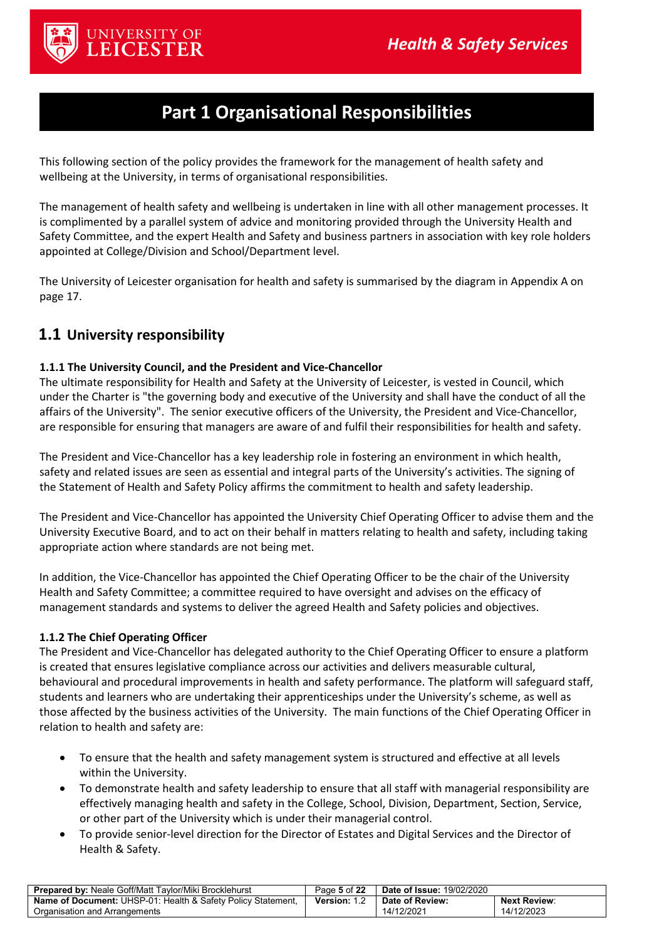

## **Part 1 Organisational Responsibilities**

<span id="page-4-0"></span>This following section of the policy provides the framework for the management of health safety and wellbeing at the University, in terms of organisational responsibilities.

The management of health safety and wellbeing is undertaken in line with all other management processes. It is complimented by a parallel system of advice and monitoring provided through the University Health and Safety Committee, and the expert Health and Safety and business partners in association with key role holders appointed at College/Division and School/Department level.

The University of Leicester organisation for health and safety is summarised by the diagram in Appendix A on page 17.

### <span id="page-4-1"></span>**1.1 University responsibility**

#### <span id="page-4-2"></span>**1.1.1 The University Council, and the President and Vice-Chancellor**

The ultimate responsibility for Health and Safety at the University of Leicester, is vested in Council, which under the Charter is "the governing body and executive of the University and shall have the conduct of all the affairs of the University". The senior executive officers of the University, the President and Vice-Chancellor, are responsible for ensuring that managers are aware of and fulfil their responsibilities for health and safety.

The President and Vice-Chancellor has a key leadership role in fostering an environment in which health, safety and related issues are seen as essential and integral parts of the University's activities. The signing of the Statement of Health and Safety Policy affirms the commitment to health and safety leadership.

The President and Vice-Chancellor has appointed the University Chief Operating Officer to advise them and the University Executive Board, and to act on their behalf in matters relating to health and safety, including taking appropriate action where standards are not being met.

In addition, the Vice-Chancellor has appointed the Chief Operating Officer to be the chair of the University Health and Safety Committee; a committee required to have oversight and advises on the efficacy of management standards and systems to deliver the agreed Health and Safety policies and objectives.

#### <span id="page-4-3"></span>**1.1.2 The Chief Operating Officer**

The President and Vice-Chancellor has delegated authority to the Chief Operating Officer to ensure a platform is created that ensures legislative compliance across our activities and delivers measurable cultural, behavioural and procedural improvements in health and safety performance. The platform will safeguard staff, students and learners who are undertaking their apprenticeships under the University's scheme, as well as those affected by the business activities of the University. The main functions of the Chief Operating Officer in relation to health and safety are:

- To ensure that the health and safety management system is structured and effective at all levels within the University.
- To demonstrate health and safety leadership to ensure that all staff with managerial responsibility are effectively managing health and safety in the College, School, Division, Department, Section, Service, or other part of the University which is under their managerial control.
- To provide senior-level direction for the Director of Estates and Digital Services and the Director of Health & Safety.

| <b>Prepared by: Neale Goff/Matt Taylor/Miki Brocklehurst</b>            | Page 5 of 22 | <b>Date of Issue: 19/02/2020</b> |                     |
|-------------------------------------------------------------------------|--------------|----------------------------------|---------------------|
| <b>Name of Document: UHSP-01: Health &amp; Safety Policy Statement.</b> | Version: 1.  | Date of Review:                  | <b>Next Review:</b> |
| Organisation and Arrangements                                           |              | 14/12/2021                       | 14/12/2023          |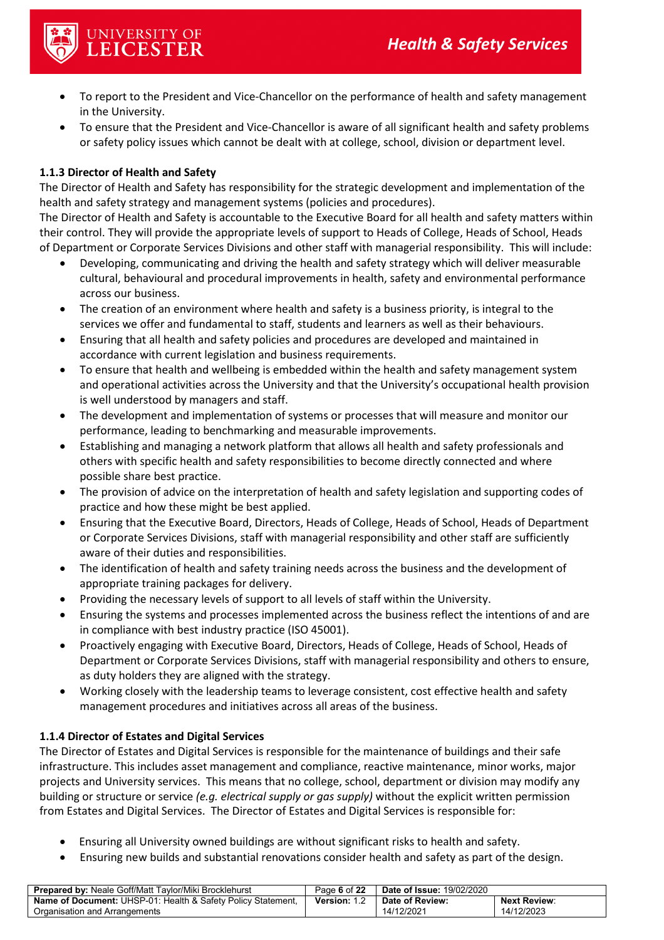

- To report to the President and Vice-Chancellor on the performance of health and safety management in the University.
- To ensure that the President and Vice-Chancellor is aware of all significant health and safety problems or safety policy issues which cannot be dealt with at college, school, division or department level.

#### **1.1.3 Director of Health and Safety**

The Director of Health and Safety has responsibility for the strategic development and implementation of the health and safety strategy and management systems (policies and procedures).

The Director of Health and Safety is accountable to the Executive Board for all health and safety matters within their control. They will provide the appropriate levels of support to Heads of College, Heads of School, Heads of Department or Corporate Services Divisions and other staff with managerial responsibility. This will include:

- Developing, communicating and driving the health and safety strategy which will deliver measurable cultural, behavioural and procedural improvements in health, safety and environmental performance across our business.
- The creation of an environment where health and safety is a business priority, is integral to the services we offer and fundamental to staff, students and learners as well as their behaviours.
- Ensuring that all health and safety policies and procedures are developed and maintained in accordance with current legislation and business requirements.
- To ensure that health and wellbeing is embedded within the health and safety management system and operational activities across the University and that the University's occupational health provision is well understood by managers and staff.
- The development and implementation of systems or processes that will measure and monitor our performance, leading to benchmarking and measurable improvements.
- Establishing and managing a network platform that allows all health and safety professionals and others with specific health and safety responsibilities to become directly connected and where possible share best practice.
- The provision of advice on the interpretation of health and safety legislation and supporting codes of practice and how these might be best applied.
- Ensuring that the Executive Board, Directors, Heads of College, Heads of School, Heads of Department or Corporate Services Divisions, staff with managerial responsibility and other staff are sufficiently aware of their duties and responsibilities.
- The identification of health and safety training needs across the business and the development of appropriate training packages for delivery.
- Providing the necessary levels of support to all levels of staff within the University.
- Ensuring the systems and processes implemented across the business reflect the intentions of and are in compliance with best industry practice (ISO 45001).
- Proactively engaging with Executive Board, Directors, Heads of College, Heads of School, Heads of Department or Corporate Services Divisions, staff with managerial responsibility and others to ensure, as duty holders they are aligned with the strategy.
- Working closely with the leadership teams to leverage consistent, cost effective health and safety management procedures and initiatives across all areas of the business.

#### <span id="page-5-0"></span>**1.1.4 Director of Estates and Digital Services**

The Director of Estates and Digital Services is responsible for the maintenance of buildings and their safe infrastructure. This includes asset management and compliance, reactive maintenance, minor works, major projects and University services. This means that no college, school, department or division may modify any building or structure or service *(e.g. electrical supply or gas supply)* without the explicit written permission from Estates and Digital Services. The Director of Estates and Digital Services is responsible for:

- Ensuring all University owned buildings are without significant risks to health and safety.
- Ensuring new builds and substantial renovations consider health and safety as part of the design.

| <b>Prepared by: Neale Goff/Matt Taylor/Miki Brocklehurst</b>        | Page 6 of 22 | <b>Date of Issue: 19/02/2020</b> |                     |
|---------------------------------------------------------------------|--------------|----------------------------------|---------------------|
| <b>Name of Document:</b> UHSP-01: Health & Safety Policy Statement, | Version: 1.2 | Date of Review:                  | <b>Next Review:</b> |
| Organisation and Arrangements                                       |              | 14/12/2021                       | 14/12/2023          |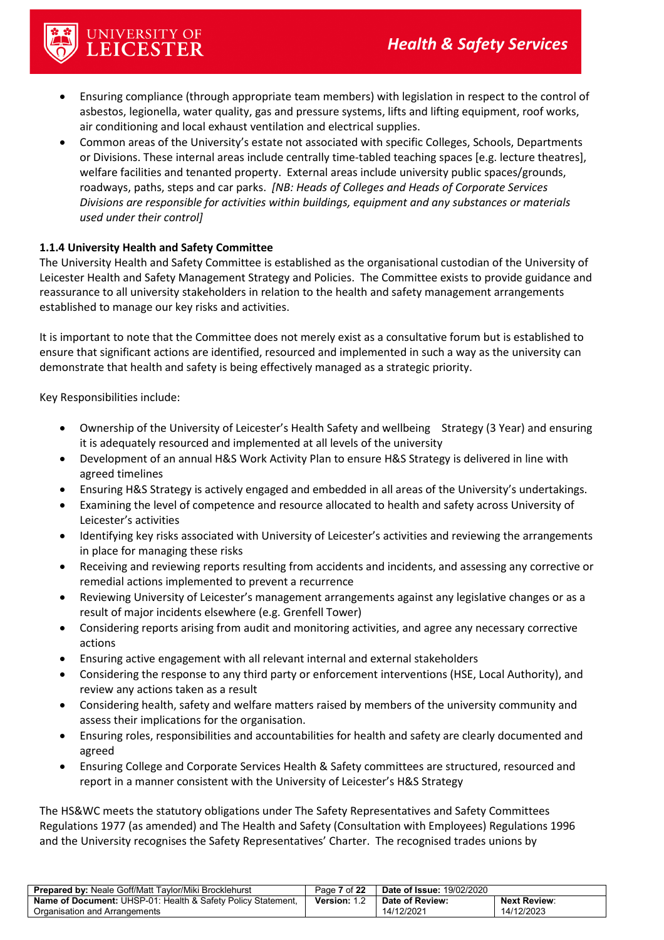

- Ensuring compliance (through appropriate team members) with legislation in respect to the control of asbestos, legionella, water quality, gas and pressure systems, lifts and lifting equipment, roof works, air conditioning and local exhaust ventilation and electrical supplies.
- Common areas of the University's estate not associated with specific Colleges, Schools, Departments or Divisions. These internal areas include centrally time-tabled teaching spaces [e.g. lecture theatres], welfare facilities and tenanted property. External areas include university public spaces/grounds, roadways, paths, steps and car parks. *[NB: Heads of Colleges and Heads of Corporate Services Divisions are responsible for activities within buildings, equipment and any substances or materials used under their control]*

#### <span id="page-6-0"></span>**1.1.4 University Health and Safety Committee**

The University Health and Safety Committee is established as the organisational custodian of the University of Leicester Health and Safety Management Strategy and Policies. The Committee exists to provide guidance and reassurance to all university stakeholders in relation to the health and safety management arrangements established to manage our key risks and activities.

It is important to note that the Committee does not merely exist as a consultative forum but is established to ensure that significant actions are identified, resourced and implemented in such a way as the university can demonstrate that health and safety is being effectively managed as a strategic priority.

Key Responsibilities include:

- Ownership of the University of Leicester's Health Safety and wellbeing Strategy (3 Year) and ensuring it is adequately resourced and implemented at all levels of the university
- Development of an annual H&S Work Activity Plan to ensure H&S Strategy is delivered in line with agreed timelines
- Ensuring H&S Strategy is actively engaged and embedded in all areas of the University's undertakings.
- Examining the level of competence and resource allocated to health and safety across University of Leicester's activities
- Identifying key risks associated with University of Leicester's activities and reviewing the arrangements in place for managing these risks
- Receiving and reviewing reports resulting from accidents and incidents, and assessing any corrective or remedial actions implemented to prevent a recurrence
- Reviewing University of Leicester's management arrangements against any legislative changes or as a result of major incidents elsewhere (e.g. Grenfell Tower)
- Considering reports arising from audit and monitoring activities, and agree any necessary corrective actions
- Ensuring active engagement with all relevant internal and external stakeholders
- Considering the response to any third party or enforcement interventions (HSE, Local Authority), and review any actions taken as a result
- Considering health, safety and welfare matters raised by members of the university community and assess their implications for the organisation.
- Ensuring roles, responsibilities and accountabilities for health and safety are clearly documented and agreed
- Ensuring College and Corporate Services Health & Safety committees are structured, resourced and report in a manner consistent with the University of Leicester's H&S Strategy

The HS&WC meets the statutory obligations under The Safety Representatives and Safety Committees Regulations 1977 (as amended) and The Health and Safety (Consultation with Employees) Regulations 1996 and the University recognises the Safety Representatives' Charter. The recognised trades unions by

| <b>Prepared by: Neale Goff/Matt Taylor/Miki Brocklehurst</b>        | Page 7 of 22        | <b>Date of Issue: 19/02/2020</b> |                     |
|---------------------------------------------------------------------|---------------------|----------------------------------|---------------------|
| <b>Name of Document:</b> UHSP-01: Health & Safety Policy Statement, | <b>Version: 1.2</b> | Date of Review:                  | <b>Next Review:</b> |
| Organisation and Arrangements                                       |                     | 14/12/2021                       | 14/12/2023          |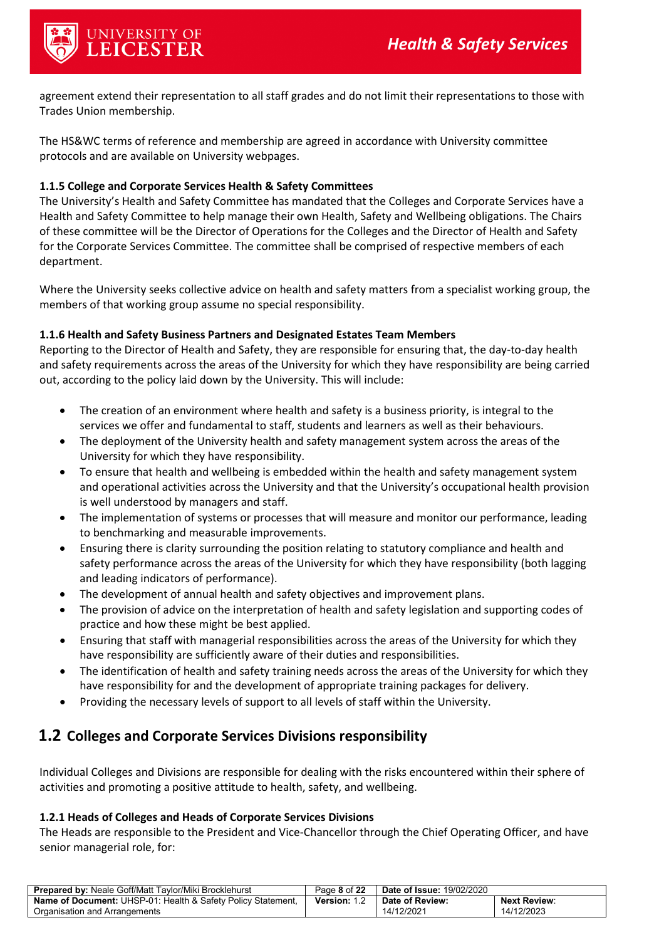

agreement extend their representation to all staff grades and do not limit their representations to those with Trades Union membership.

The HS&WC terms of reference and membership are agreed in accordance with University committee protocols and are available on University webpages.

#### <span id="page-7-0"></span>**1.1.5 College and Corporate Services Health & Safety Committees**

The University's Health and Safety Committee has mandated that the Colleges and Corporate Services have a Health and Safety Committee to help manage their own Health, Safety and Wellbeing obligations. The Chairs of these committee will be the Director of Operations for the Colleges and the Director of Health and Safety for the Corporate Services Committee. The committee shall be comprised of respective members of each department.

Where the University seeks collective advice on health and safety matters from a specialist working group, the members of that working group assume no special responsibility.

#### <span id="page-7-1"></span>**1.1.6 Health and Safety Business Partners and Designated Estates Team Members**

Reporting to the Director of Health and Safety, they are responsible for ensuring that, the day-to-day health and safety requirements across the areas of the University for which they have responsibility are being carried out, according to the policy laid down by the University. This will include:

- The creation of an environment where health and safety is a business priority, is integral to the services we offer and fundamental to staff, students and learners as well as their behaviours.
- The deployment of the University health and safety management system across the areas of the University for which they have responsibility.
- To ensure that health and wellbeing is embedded within the health and safety management system and operational activities across the University and that the University's occupational health provision is well understood by managers and staff.
- The implementation of systems or processes that will measure and monitor our performance, leading to benchmarking and measurable improvements.
- Ensuring there is clarity surrounding the position relating to statutory compliance and health and safety performance across the areas of the University for which they have responsibility (both lagging and leading indicators of performance).
- The development of annual health and safety objectives and improvement plans.
- The provision of advice on the interpretation of health and safety legislation and supporting codes of practice and how these might be best applied.
- Ensuring that staff with managerial responsibilities across the areas of the University for which they have responsibility are sufficiently aware of their duties and responsibilities.
- The identification of health and safety training needs across the areas of the University for which they have responsibility for and the development of appropriate training packages for delivery.
- Providing the necessary levels of support to all levels of staff within the University.

#### <span id="page-7-2"></span>**1.2 Colleges and Corporate Services Divisions responsibility**

Individual Colleges and Divisions are responsible for dealing with the risks encountered within their sphere of activities and promoting a positive attitude to health, safety, and wellbeing.

#### <span id="page-7-3"></span>**1.2.1 Heads of Colleges and Heads of Corporate Services Divisions**

The Heads are responsible to the President and Vice-Chancellor through the Chief Operating Officer, and have senior managerial role, for:

| <b>Prepared by: Neale Goff/Matt Taylor/Miki Brocklehurst</b>        | Page 8 of 22 | <b>Date of Issue: 19/02/2020</b> |                     |
|---------------------------------------------------------------------|--------------|----------------------------------|---------------------|
| <b>Name of Document:</b> UHSP-01: Health & Safety Policy Statement. | Version:     | Date of Review:                  | <b>Next Review:</b> |
| Organisation and Arrangements                                       |              | 14/12/2021                       | 14/12/2023          |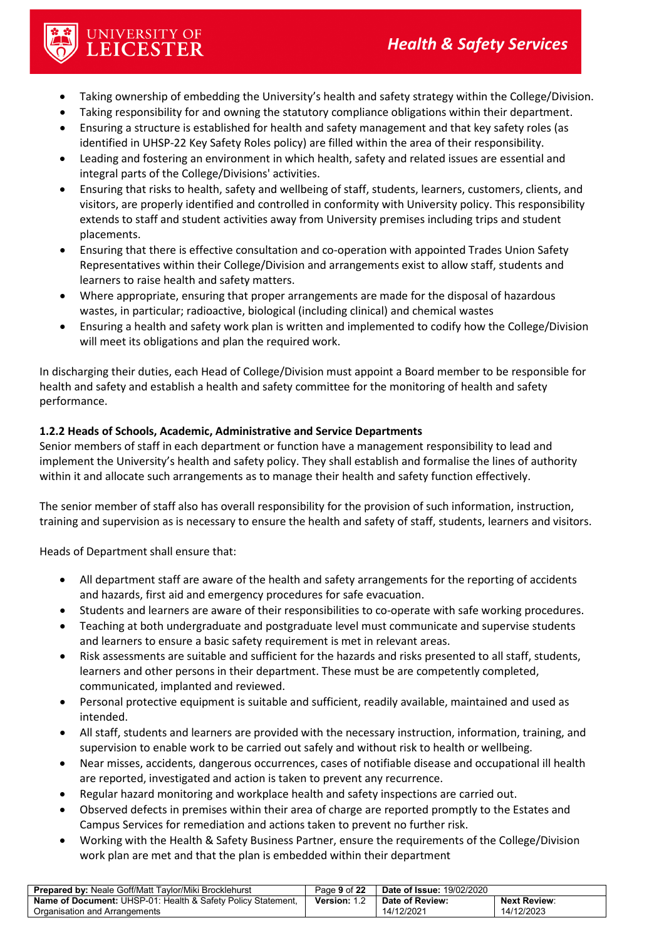- Taking ownership of embedding the University's health and safety strategy within the College/Division.
- Taking responsibility for and owning the statutory compliance obligations within their department.
- Ensuring a structure is established for health and safety management and that key safety roles (as identified in UHSP-22 Key Safety Roles policy) are filled within the area of their responsibility.
- Leading and fostering an environment in which health, safety and related issues are essential and integral parts of the College/Divisions' activities.
- Ensuring that risks to health, safety and wellbeing of staff, students, learners, customers, clients, and visitors, are properly identified and controlled in conformity with University policy. This responsibility extends to staff and student activities away from University premises including trips and student placements.
- Ensuring that there is effective consultation and co-operation with appointed Trades Union Safety Representatives within their College/Division and arrangements exist to allow staff, students and learners to raise health and safety matters.
- Where appropriate, ensuring that proper arrangements are made for the disposal of hazardous wastes, in particular; radioactive, biological (including clinical) and chemical wastes
- Ensuring a health and safety work plan is written and implemented to codify how the College/Division will meet its obligations and plan the required work.

In discharging their duties, each Head of College/Division must appoint a Board member to be responsible for health and safety and establish a health and safety committee for the monitoring of health and safety performance.

#### <span id="page-8-0"></span>**1.2.2 Heads of Schools, Academic, Administrative and Service Departments**

Senior members of staff in each department or function have a management responsibility to lead and implement the University's health and safety policy. They shall establish and formalise the lines of authority within it and allocate such arrangements as to manage their health and safety function effectively.

The senior member of staff also has overall responsibility for the provision of such information, instruction, training and supervision as is necessary to ensure the health and safety of staff, students, learners and visitors.

Heads of Department shall ensure that:

UNIVERSITY OF<br>LEICESTER

- All department staff are aware of the health and safety arrangements for the reporting of accidents and hazards, first aid and emergency procedures for safe evacuation.
- Students and learners are aware of their responsibilities to co-operate with safe working procedures.
- Teaching at both undergraduate and postgraduate level must communicate and supervise students and learners to ensure a basic safety requirement is met in relevant areas.
- Risk assessments are suitable and sufficient for the hazards and risks presented to all staff, students, learners and other persons in their department. These must be are competently completed, communicated, implanted and reviewed.
- Personal protective equipment is suitable and sufficient, readily available, maintained and used as intended.
- All staff, students and learners are provided with the necessary instruction, information, training, and supervision to enable work to be carried out safely and without risk to health or wellbeing.
- Near misses, accidents, dangerous occurrences, cases of notifiable disease and occupational ill health are reported, investigated and action is taken to prevent any recurrence.
- Regular hazard monitoring and workplace health and safety inspections are carried out.
- Observed defects in premises within their area of charge are reported promptly to the Estates and Campus Services for remediation and actions taken to prevent no further risk.
- Working with the Health & Safety Business Partner, ensure the requirements of the College/Division work plan are met and that the plan is embedded within their department

| <b>Prepared by: Neale Goff/Matt Taylor/Miki Brocklehurst</b>        | Page 9 of 22        | <b>Date of Issue: 19/02/2020</b> |                     |
|---------------------------------------------------------------------|---------------------|----------------------------------|---------------------|
| <b>Name of Document:</b> UHSP-01: Health & Safety Policy Statement, | <b>Version: 1.2</b> | Date of Review:                  | <b>Next Review:</b> |
| Organisation and Arrangements                                       |                     | 14/12/2021                       | 14/12/2023          |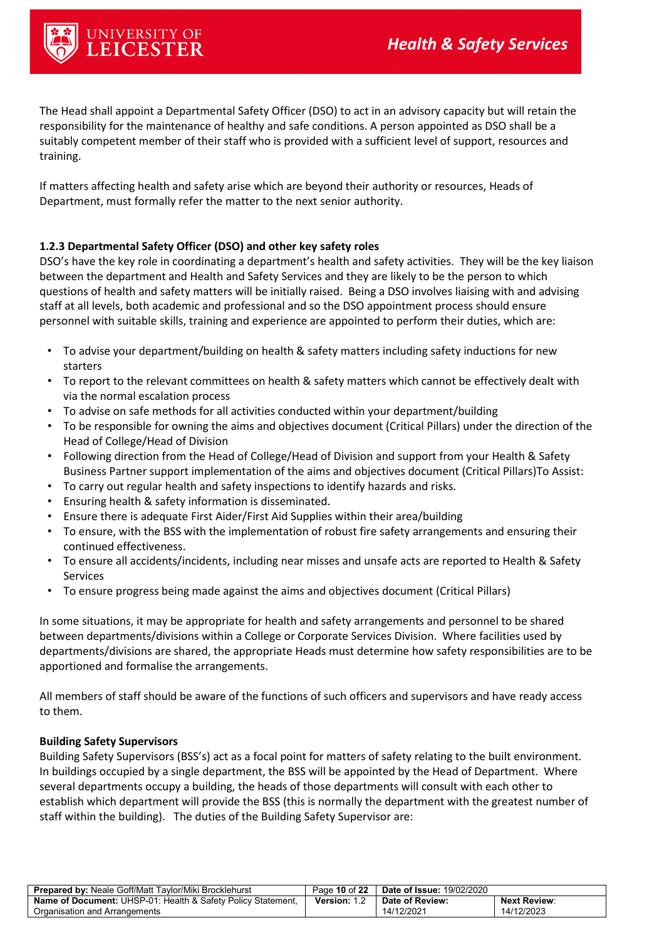

The Head shall appoint a Departmental Safety Officer (DSO) to act in an advisory capacity but will retain the responsibility for the maintenance of healthy and safe conditions. A person appointed as DSO shall be a suitably competent member of their staff who is provided with a sufficient level of support, resources and training.

If matters affecting health and safety arise which are beyond their authority or resources, Heads of Department, must formally refer the matter to the next senior authority.

#### **1.2.3 Departmental Safety Officer (DSO) and other key safety roles**

DSO's have the key role in coordinating a department's health and safety activities. They will be the key liaison between the department and Health and Safety Services and they are likely to be the person to which questions of health and safety matters will be initially raised. Being a DSO involves liaising with and advising staff at all levels, both academic and professional and so the DSO appointment process should ensure personnel with suitable skills, training and experience are appointed to perform their duties, which are:

- To advise your department/building on health & safety matters including safety inductions for new starters
- To report to the relevant committees on health & safety matters which cannot be effectively dealt with via the normal escalation process
- To advise on safe methods for all activities conducted within your department/building
- To be responsible for owning the aims and objectives document (Critical Pillars) under the direction of the Head of College/Head of Division
- Following direction from the Head of College/Head of Division and support from your Health & Safety Business Partner support implementation of the aims and objectives document (Critical Pillars)To Assist:
- To carry out regular health and safety inspections to identify hazards and risks.
- Ensuring health & safety information is disseminated.
- Ensure there is adequate First Aider/First Aid Supplies within their area/building
- To ensure, with the BSS with the implementation of robust fire safety arrangements and ensuring their continued effectiveness.
- To ensure all accidents/incidents, including near misses and unsafe acts are reported to Health & Safety Services
- To ensure progress being made against the aims and objectives document (Critical Pillars)

In some situations, it may be appropriate for health and safety arrangements and personnel to be shared between departments/divisions within a College or Corporate Services Division. Where facilities used by departments/divisions are shared, the appropriate Heads must determine how safety responsibilities are to be apportioned and formalise the arrangements.

All members of staff should be aware of the functions of such officers and supervisors and have ready access to them.

#### **Building Safety Supervisors**

Building Safety Supervisors (BSS's) act as a focal point for matters of safety relating to the built environment. In buildings occupied by a single department, the BSS will be appointed by the Head of Department. Where several departments occupy a building, the heads of those departments will consult with each other to establish which department will provide the BSS (this is normally the department with the greatest number of staff within the building). The duties of the Building Safety Supervisor are:

| <b>Prepared by: Neale Goff/Matt Taylor/Miki Brocklehurst</b>        | Page 10 of 22 | <b>Date of Issue: 19/02/2020</b> |                     |
|---------------------------------------------------------------------|---------------|----------------------------------|---------------------|
| <b>Name of Document:</b> UHSP-01: Health & Safety Policy Statement. | Version: 1.2  | Date of Review:                  | <b>Next Review:</b> |
| Organisation and Arrangements                                       |               | 14/12/2021                       | 14/12/2023          |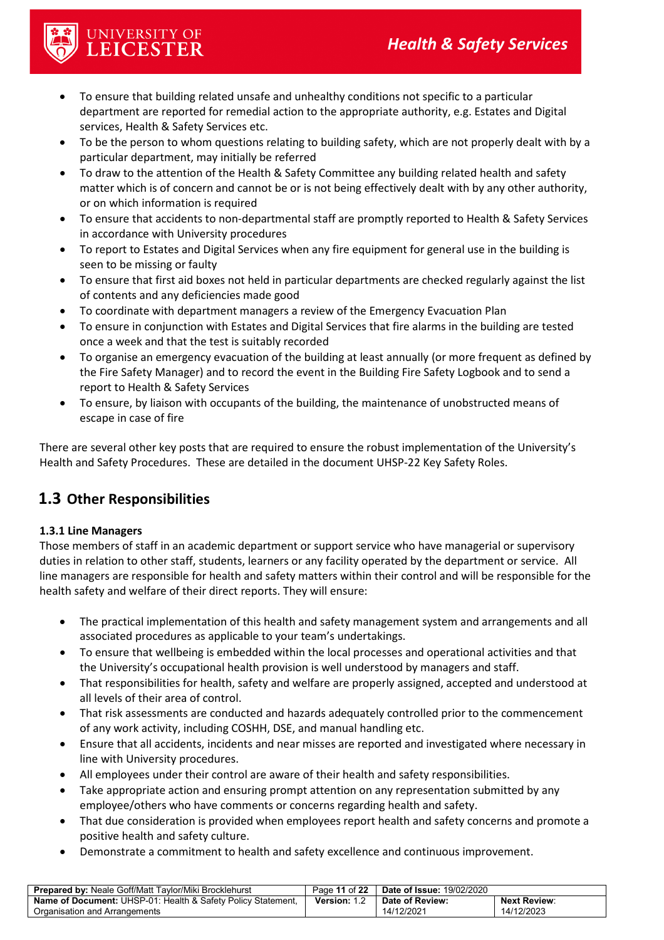

UNIVERSITY OF<br>LEICESTER

- To ensure that building related unsafe and unhealthy conditions not specific to a particular department are reported for remedial action to the appropriate authority, e.g. Estates and Digital services, Health & Safety Services etc.
- To be the person to whom questions relating to building safety, which are not properly dealt with by a particular department, may initially be referred
- To draw to the attention of the Health & Safety Committee any building related health and safety matter which is of concern and cannot be or is not being effectively dealt with by any other authority, or on which information is required
- To ensure that accidents to non-departmental staff are promptly reported to Health & Safety Services in accordance with University procedures
- To report to Estates and Digital Services when any fire equipment for general use in the building is seen to be missing or faulty
- To ensure that first aid boxes not held in particular departments are checked regularly against the list of contents and any deficiencies made good
- To coordinate with department managers a review of the Emergency Evacuation Plan
- To ensure in conjunction with Estates and Digital Services that fire alarms in the building are tested once a week and that the test is suitably recorded
- To organise an emergency evacuation of the building at least annually (or more frequent as defined by the Fire Safety Manager) and to record the event in the Building Fire Safety Logbook and to send a report to Health & Safety Services
- To ensure, by liaison with occupants of the building, the maintenance of unobstructed means of escape in case of fire

There are several other key posts that are required to ensure the robust implementation of the University's Health and Safety Procedures. These are detailed in the document UHSP-22 Key Safety Roles.

## <span id="page-10-0"></span>**1.3 Other Responsibilities**

#### <span id="page-10-1"></span>**1.3.1 Line Managers**

Those members of staff in an academic department or support service who have managerial or supervisory duties in relation to other staff, students, learners or any facility operated by the department or service. All line managers are responsible for health and safety matters within their control and will be responsible for the health safety and welfare of their direct reports. They will ensure:

- The practical implementation of this health and safety management system and arrangements and all associated procedures as applicable to your team's undertakings.
- To ensure that wellbeing is embedded within the local processes and operational activities and that the University's occupational health provision is well understood by managers and staff.
- That responsibilities for health, safety and welfare are properly assigned, accepted and understood at all levels of their area of control.
- That risk assessments are conducted and hazards adequately controlled prior to the commencement of any work activity, including COSHH, DSE, and manual handling etc.
- Ensure that all accidents, incidents and near misses are reported and investigated where necessary in line with University procedures.
- All employees under their control are aware of their health and safety responsibilities.
- Take appropriate action and ensuring prompt attention on any representation submitted by any employee/others who have comments or concerns regarding health and safety.
- That due consideration is provided when employees report health and safety concerns and promote a positive health and safety culture.
- Demonstrate a commitment to health and safety excellence and continuous improvement.

| <b>Prepared by: Neale Goff/Matt Taylor/Miki Brocklehurst</b>        | Page 11 of 22 | <b>Date of Issue: 19/02/2020</b> |                     |
|---------------------------------------------------------------------|---------------|----------------------------------|---------------------|
| <b>Name of Document:</b> UHSP-01: Health & Safety Policy Statement, | Version: 1.2  | Date of Review:                  | <b>Next Review:</b> |
| Organisation and Arrangements                                       |               | 14/12/2021                       | 14/12/2023          |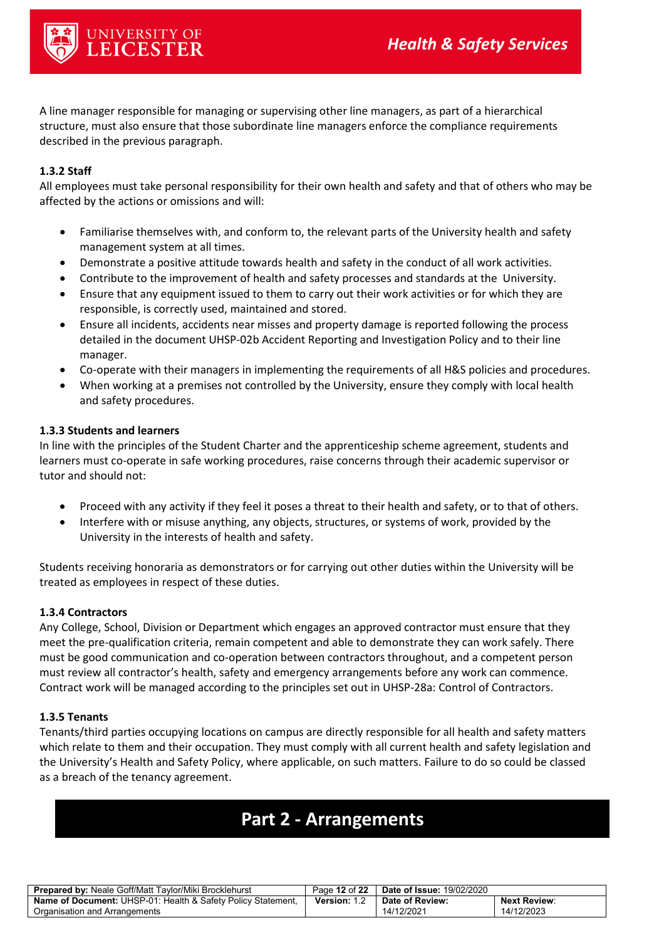

A line manager responsible for managing or supervising other line managers, as part of a hierarchical structure, must also ensure that those subordinate line managers enforce the compliance requirements described in the previous paragraph.

#### <span id="page-11-0"></span>**1.3.2 Staff**

All employees must take personal responsibility for their own health and safety and that of others who may be affected by the actions or omissions and will:

- Familiarise themselves with, and conform to, the relevant parts of the University health and safety management system at all times.
- Demonstrate a positive attitude towards health and safety in the conduct of all work activities.
- Contribute to the improvement of health and safety processes and standards at the University.
- Ensure that any equipment issued to them to carry out their work activities or for which they are responsible, is correctly used, maintained and stored.
- Ensure all incidents, accidents near misses and property damage is reported following the process detailed in the document UHSP-02b Accident Reporting and Investigation Policy and to their line manager.
- Co-operate with their managers in implementing the requirements of all H&S policies and procedures.
- When working at a premises not controlled by the University, ensure they comply with local health and safety procedures.

#### <span id="page-11-1"></span>**1.3.3 Students and learners**

In line with the principles of the Student Charter and the apprenticeship scheme agreement, students and learners must co-operate in safe working procedures, raise concerns through their academic supervisor or tutor and should not:

- Proceed with any activity if they feel it poses a threat to their health and safety, or to that of others.
- Interfere with or misuse anything, any objects, structures, or systems of work, provided by the University in the interests of health and safety.

Students receiving honoraria as demonstrators or for carrying out other duties within the University will be treated as employees in respect of these duties.

#### <span id="page-11-2"></span>**1.3.4 Contractors**

Any College, School, Division or Department which engages an approved contractor must ensure that they meet the pre-qualification criteria, remain competent and able to demonstrate they can work safely. There must be good communication and co-operation between contractors throughout, and a competent person must review all contractor's health, safety and emergency arrangements before any work can commence. Contract work will be managed according to the principles set out in UHSP-28a: Control of Contractors.

#### <span id="page-11-3"></span>**1.3.5 Tenants**

Tenants/third parties occupying locations on campus are directly responsible for all health and safety matters which relate to them and their occupation. They must comply with all current health and safety legislation and the University's Health and Safety Policy, where applicable, on such matters. Failure to do so could be classed as a breach of the tenancy agreement.

## <span id="page-11-4"></span>**Part 2 - Arrangements**

| <b>Prepared by: Neale Goff/Matt Taylor/Miki Brocklehurst</b>            | Page 12 of 22 | <b>Date of Issue: 19/02/2020</b> |                     |
|-------------------------------------------------------------------------|---------------|----------------------------------|---------------------|
| <b>Name of Document: UHSP-01: Health &amp; Safety Policy Statement,</b> | Version: 1.2  | Date of Review:                  | <b>Next Review:</b> |
| Organisation and Arrangements                                           |               | 14/12/2021                       | 14/12/2023          |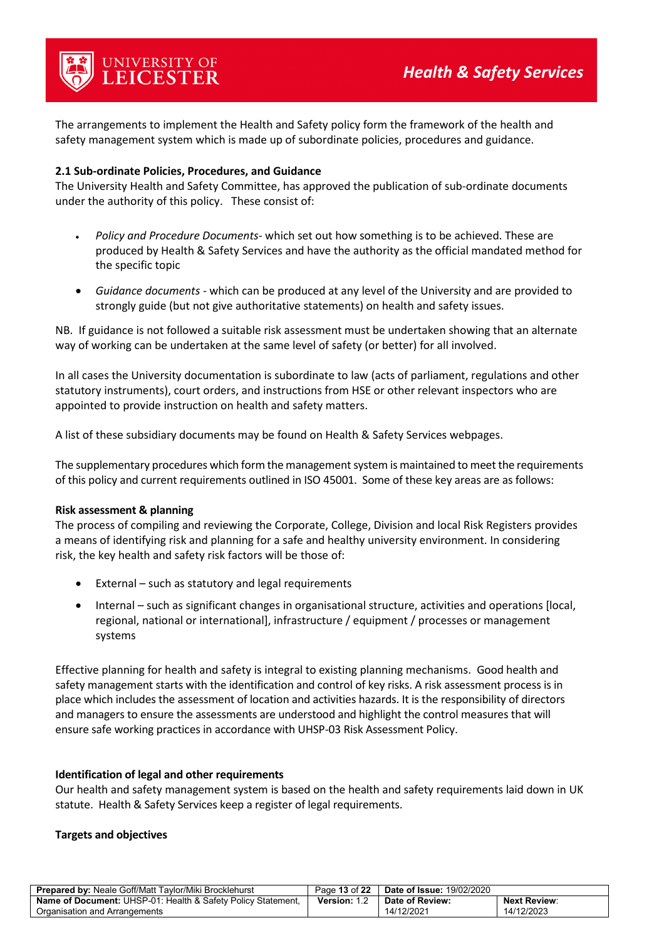The arrangements to implement the Health and Safety policy form the framework of the health and safety management system which is made up of subordinate policies, procedures and guidance.

#### <span id="page-12-0"></span>**2.1 Sub-ordinate Policies, Procedures, and Guidance**

The University Health and Safety Committee, has approved the publication of sub-ordinate documents under the authority of this policy. These consist of:

- *Policy and Procedure Documents* which set out how something is to be achieved. These are produced by Health & Safety Services and have the authority as the official mandated method for the specific topic
- *Guidance documents -* which can be produced at any level of the University and are provided to strongly guide (but not give authoritative statements) on health and safety issues.

NB. If guidance is not followed a suitable risk assessment must be undertaken showing that an alternate way of working can be undertaken at the same level of safety (or better) for all involved.

In all cases the University documentation is subordinate to law (acts of parliament, regulations and other statutory instruments), court orders, and instructions from HSE or other relevant inspectors who are appointed to provide instruction on health and safety matters.

A list of these subsidiary documents may be found on Health & Safety Services webpages.

The supplementary procedures which form the management system is maintained to meet the requirements of this policy and current requirements outlined in ISO 45001. Some of these key areas are as follows:

#### **Risk assessment & planning**

The process of compiling and reviewing the Corporate, College, Division and local Risk Registers provides a means of identifying risk and planning for a safe and healthy university environment. In considering risk, the key health and safety risk factors will be those of:

- External such as statutory and legal requirements
- Internal such as significant changes in organisational structure, activities and operations [local, regional, national or international], infrastructure / equipment / processes or management systems

Effective planning for health and safety is integral to existing planning mechanisms. Good health and safety management starts with the identification and control of key risks. A risk assessment process is in place which includes the assessment of location and activities hazards. It is the responsibility of directors and managers to ensure the assessments are understood and highlight the control measures that will ensure safe working practices in accordance with UHSP-03 Risk Assessment Policy.

#### **Identification of legal and other requirements**

Our health and safety management system is based on the health and safety requirements laid down in UK statute. Health & Safety Services keep a register of legal requirements.

#### **Targets and objectives**

| <b>Prepared by: Neale Goff/Matt Taylor/Miki Brocklehurst</b>            | Page 13 of 22       | <b>Date of Issue: 19/02/2020</b> |                     |
|-------------------------------------------------------------------------|---------------------|----------------------------------|---------------------|
| <b>Name of Document: UHSP-01: Health &amp; Safety Policy Statement,</b> | <b>Version: 1.2</b> | Date of Review:                  | <b>Next Review:</b> |
| Organisation and Arrangements                                           |                     | 14/12/2021                       | 14/12/2023          |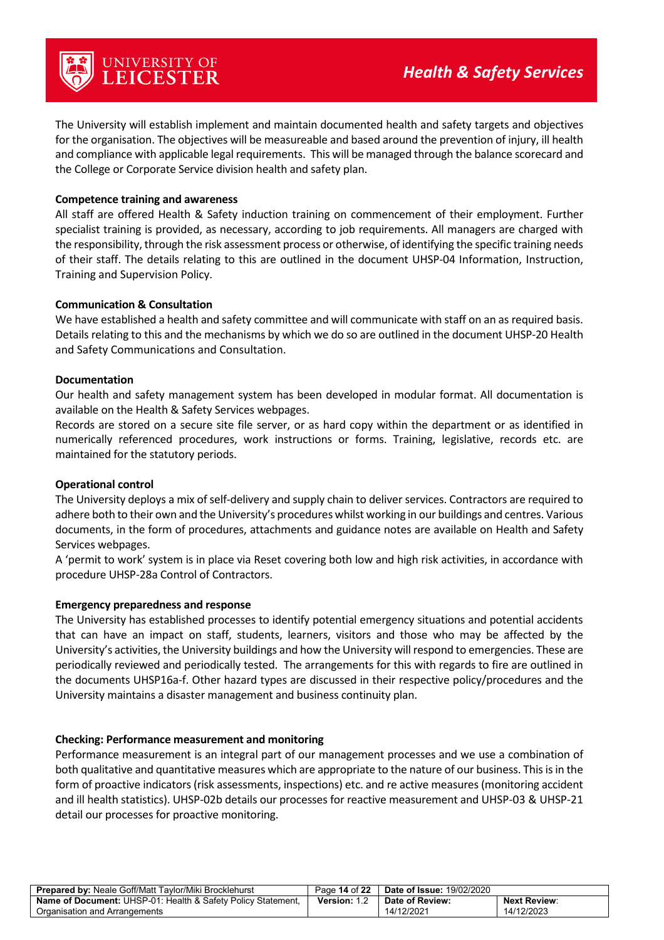The University will establish implement and maintain documented health and safety targets and objectives for the organisation. The objectives will be measureable and based around the prevention of injury, ill health and compliance with applicable legal requirements. This will be managed through the balance scorecard and the College or Corporate Service division health and safety plan.

#### **Competence training and awareness**

All staff are offered Health & Safety induction training on commencement of their employment. Further specialist training is provided, as necessary, according to job requirements. All managers are charged with the responsibility, through the risk assessment process or otherwise, of identifying the specific training needs of their staff. The details relating to this are outlined in the document UHSP-04 Information, Instruction, Training and Supervision Policy.

#### **Communication & Consultation**

We have established a health and safety committee and will communicate with staff on an as required basis. Details relating to this and the mechanisms by which we do so are outlined in the document UHSP-20 Health and Safety Communications and Consultation.

#### **Documentation**

Our health and safety management system has been developed in modular format. All documentation is available on the Health & Safety Services webpages.

Records are stored on a secure site file server, or as hard copy within the department or as identified in numerically referenced procedures, work instructions or forms. Training, legislative, records etc. are maintained for the statutory periods.

#### **Operational control**

The University deploys a mix of self-delivery and supply chain to deliver services. Contractors are required to adhere both to their own and the University's procedures whilst working in our buildings and centres. Various documents, in the form of procedures, attachments and guidance notes are available on Health and Safety Services webpages.

A 'permit to work' system is in place via Reset covering both low and high risk activities, in accordance with procedure UHSP-28a Control of Contractors.

#### **Emergency preparedness and response**

The University has established processes to identify potential emergency situations and potential accidents that can have an impact on staff, students, learners, visitors and those who may be affected by the University's activities, the University buildings and how the University will respond to emergencies. These are periodically reviewed and periodically tested. The arrangements for this with regards to fire are outlined in the documents UHSP16a-f. Other hazard types are discussed in their respective policy/procedures and the University maintains a disaster management and business continuity plan.

#### **Checking: Performance measurement and monitoring**

Performance measurement is an integral part of our management processes and we use a combination of both qualitative and quantitative measures which are appropriate to the nature of our business. This is in the form of proactive indicators (risk assessments, inspections) etc. and re active measures (monitoring accident and ill health statistics). UHSP-02b details our processes for reactive measurement and UHSP-03 & UHSP-21 detail our processes for proactive monitoring.

| <b>Prepared by: Neale Goff/Matt Taylor/Miki Brocklehurst</b>            | Page 14 of 22     | <b>Date of Issue: 19/02/2020</b> |                     |
|-------------------------------------------------------------------------|-------------------|----------------------------------|---------------------|
| <b>Name of Document: UHSP-01: Health &amp; Safety Policy Statement,</b> | <b>Version:</b> 1 | Date of Review:                  | <b>Next Review:</b> |
| Organisation and Arrangements                                           |                   | 14/12/2021                       | 14/12/2023          |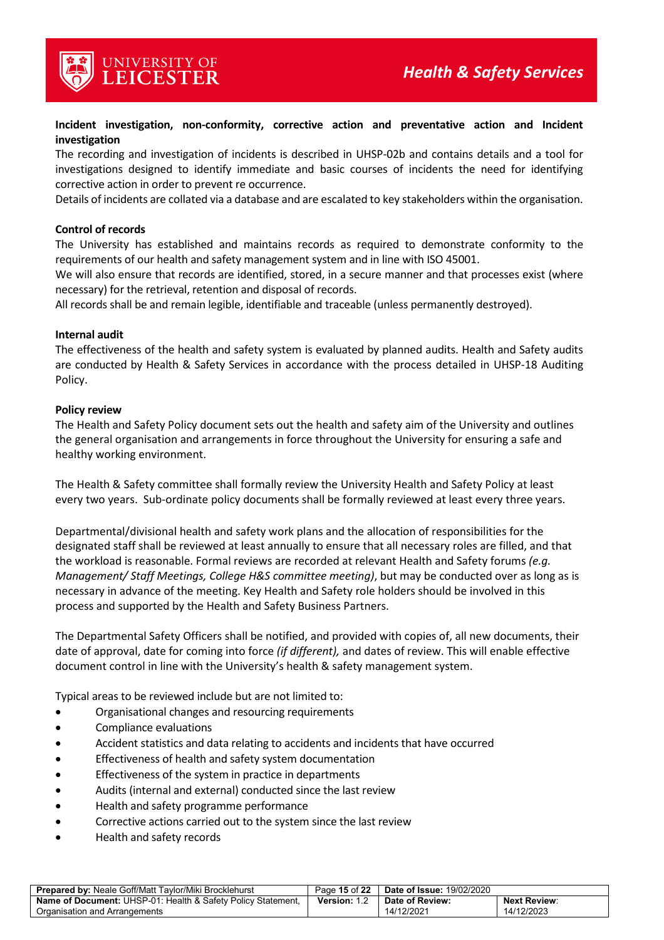

UNIVERSITY OF<br>**LEICESTER** 

#### **Incident investigation, non-conformity, corrective action and preventative action and Incident investigation**

The recording and investigation of incidents is described in UHSP-02b and contains details and a tool for investigations designed to identify immediate and basic courses of incidents the need for identifying corrective action in order to prevent re occurrence.

Details of incidents are collated via a database and are escalated to key stakeholders within the organisation.

#### **Control of records**

The University has established and maintains records as required to demonstrate conformity to the requirements of our health and safety management system and in line with ISO 45001.

We will also ensure that records are identified, stored, in a secure manner and that processes exist (where necessary) for the retrieval, retention and disposal of records.

All records shall be and remain legible, identifiable and traceable (unless permanently destroyed).

#### **Internal audit**

The effectiveness of the health and safety system is evaluated by planned audits. Health and Safety audits are conducted by Health & Safety Services in accordance with the process detailed in UHSP-18 Auditing Policy.

#### **Policy review**

The Health and Safety Policy document sets out the health and safety aim of the University and outlines the general organisation and arrangements in force throughout the University for ensuring a safe and healthy working environment.

The Health & Safety committee shall formally review the University Health and Safety Policy at least every two years. Sub-ordinate policy documents shall be formally reviewed at least every three years.

Departmental/divisional health and safety work plans and the allocation of responsibilities for the designated staff shall be reviewed at least annually to ensure that all necessary roles are filled, and that the workload is reasonable. Formal reviews are recorded at relevant Health and Safety forums *(e.g. Management/ Staff Meetings, College H&S committee meeting)*, but may be conducted over as long as is necessary in advance of the meeting. Key Health and Safety role holders should be involved in this process and supported by the Health and Safety Business Partners.

The Departmental Safety Officers shall be notified, and provided with copies of, all new documents, their date of approval, date for coming into force *(if different),* and dates of review. This will enable effective document control in line with the University's health & safety management system.

Typical areas to be reviewed include but are not limited to:

- Organisational changes and resourcing requirements
- Compliance evaluations
- Accident statistics and data relating to accidents and incidents that have occurred
- Effectiveness of health and safety system documentation
- Effectiveness of the system in practice in departments
- Audits (internal and external) conducted since the last review
- Health and safety programme performance
- Corrective actions carried out to the system since the last review
- Health and safety records

| <b>Prepared by: Neale Goff/Matt Taylor/Miki Brocklehurst</b>        | Page 15 of 22       | <b>Date of Issue: 19/02/2020</b> |                     |
|---------------------------------------------------------------------|---------------------|----------------------------------|---------------------|
| <b>Name of Document:</b> UHSP-01: Health & Safety Policy Statement. | <b>Version: 1.2</b> | Date of Review:                  | <b>Next Review:</b> |
| Organisation and Arrangements                                       |                     | 14/12/2021                       | 14/12/2023          |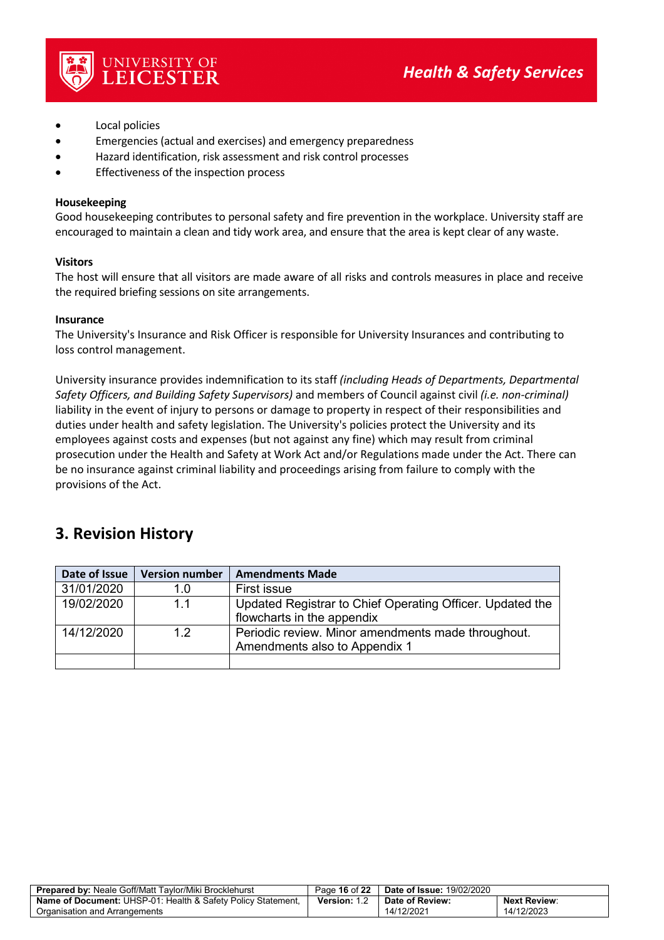

- Local policies
- Emergencies (actual and exercises) and emergency preparedness
- Hazard identification, risk assessment and risk control processes
- Effectiveness of the inspection process

UNIVERSITY OF<br>**LEICESTER** 

#### **Housekeeping**

Good housekeeping contributes to personal safety and fire prevention in the workplace. University staff are encouraged to maintain a clean and tidy work area, and ensure that the area is kept clear of any waste.

#### **Visitors**

The host will ensure that all visitors are made aware of all risks and controls measures in place and receive the required briefing sessions on site arrangements.

#### **Insurance**

The University's Insurance and Risk Officer is responsible for University Insurances and contributing to loss control management.

University insurance provides indemnification to its staff *(including Heads of Departments, Departmental Safety Officers, and Building Safety Supervisors)* and members of Council against civil *(i.e. non-criminal)* liability in the event of injury to persons or damage to property in respect of their responsibilities and duties under health and safety legislation. The University's policies protect the University and its employees against costs and expenses (but not against any fine) which may result from criminal prosecution under the Health and Safety at Work Act and/or Regulations made under the Act. There can be no insurance against criminal liability and proceedings arising from failure to comply with the provisions of the Act.

## **3. Revision History**

| Date of Issue | <b>Version number</b> | <b>Amendments Made</b>                                    |
|---------------|-----------------------|-----------------------------------------------------------|
| 31/01/2020    | 1. $\Omega$           | First issue                                               |
| 19/02/2020    | 1.1                   | Updated Registrar to Chief Operating Officer. Updated the |
|               |                       | flowcharts in the appendix                                |
| 14/12/2020    | 12                    | Periodic review. Minor amendments made throughout.        |
|               |                       | Amendments also to Appendix 1                             |
|               |                       |                                                           |

| <b>Prepared by: Neale Goff/Matt Tavlor/Miki Brocklehurst</b>        | Page 16 of 22 | <b>Date of Issue: 19/02/2020</b> |                     |
|---------------------------------------------------------------------|---------------|----------------------------------|---------------------|
| <b>Name of Document:</b> UHSP-01: Health & Safety Policy Statement. | Version: 1    | Date of Review:                  | <b>Next Review:</b> |
| Organisation and Arrangements                                       |               | 14/12/2021                       | 14/12/2023          |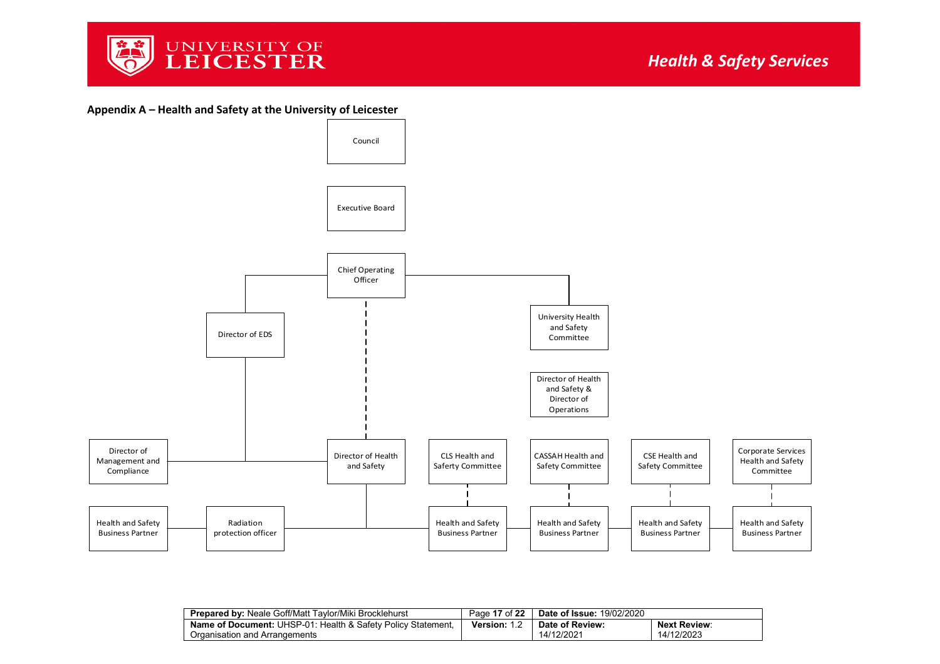

**Appendix A – Health and Safety at the University of Leicester**



<span id="page-16-0"></span>

| <b>Prepared by: Neale Goff/Matt Taylor/Miki Brocklehurst</b>        | Page 17 of 22 | <b>Date of Issue: 19/02/2020</b> |                     |
|---------------------------------------------------------------------|---------------|----------------------------------|---------------------|
| <b>Name of Document:</b> UHSP-01: Health & Safety Policy Statement. | Version: 1.2  | Date of Review:                  | <b>Next Review:</b> |
| Organisation and Arrangements                                       |               | 14/12/2021                       | 14/12/2023          |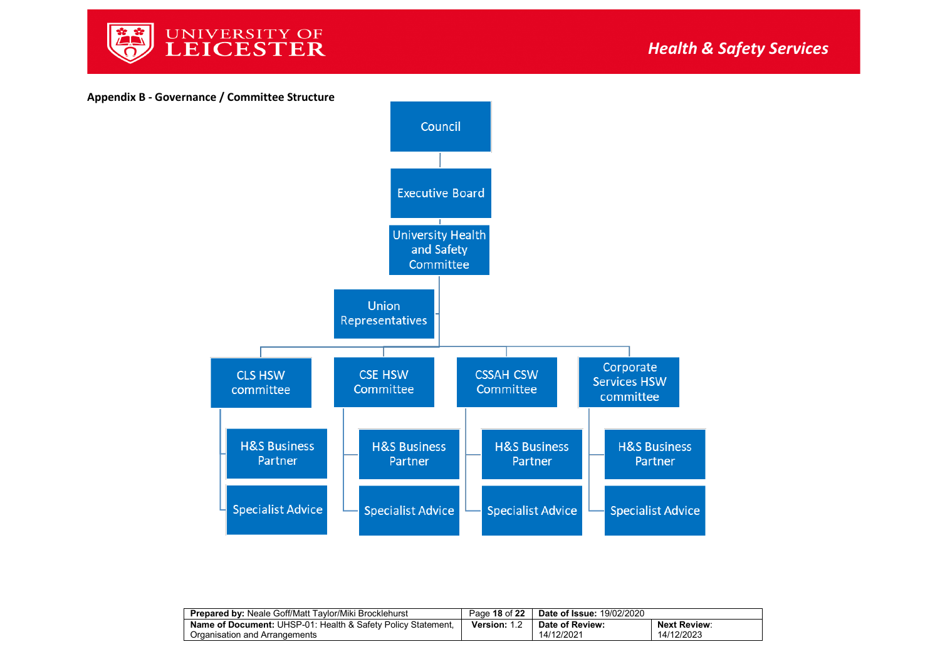



<span id="page-17-0"></span>

| <b>Prepared by: Neale Goff/Matt Taylor/Miki Brocklehurst</b>            | Page 18 of 22   | <b>Date of Issue: 19/02/2020</b> |                     |
|-------------------------------------------------------------------------|-----------------|----------------------------------|---------------------|
| <b>Name of Document: UHSP-01: Health &amp; Safety Policy Statement,</b> | <b>Version:</b> | Date of Review:                  | <b>Next Review:</b> |
| Organisation and Arrangements                                           |                 | 14/12/2021                       | 14/12/2023          |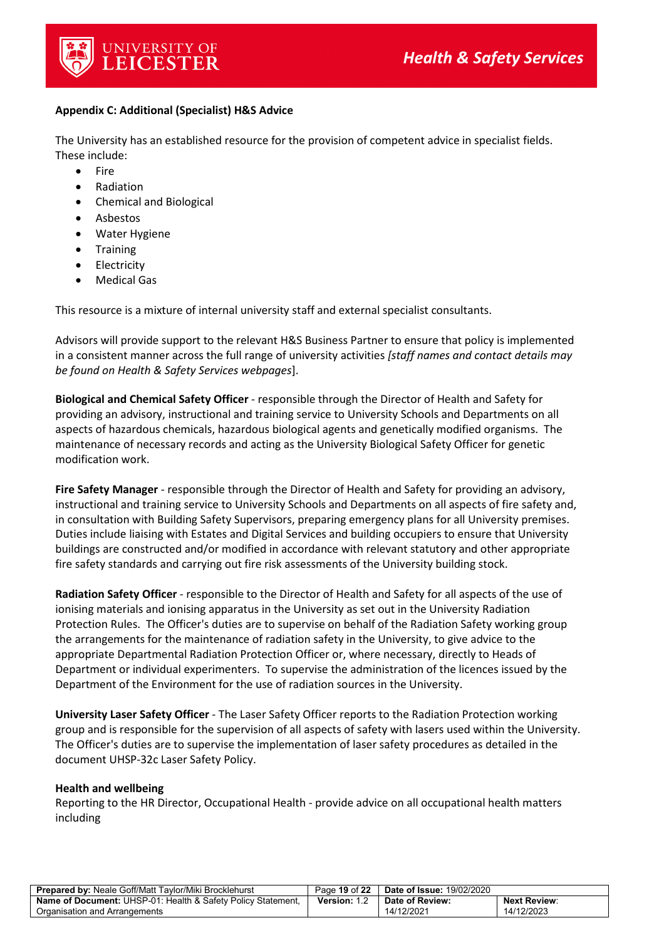

#### <span id="page-18-0"></span>**Appendix C: Additional (Specialist) H&S Advice**

The University has an established resource for the provision of competent advice in specialist fields. These include:

- Fire
- Radiation
- Chemical and Biological
- **Asbestos**
- Water Hygiene
- **Training**
- **Electricity**
- **Medical Gas**

This resource is a mixture of internal university staff and external specialist consultants.

Advisors will provide support to the relevant H&S Business Partner to ensure that policy is implemented in a consistent manner across the full range of university activities *[staff names and contact details may be found on Health & Safety Services webpages*].

**Biological and Chemical Safety Officer** - responsible through the Director of Health and Safety for providing an advisory, instructional and training service to University Schools and Departments on all aspects of hazardous chemicals, hazardous biological agents and genetically modified organisms. The maintenance of necessary records and acting as the University Biological Safety Officer for genetic modification work.

**Fire Safety Manager** - responsible through the Director of Health and Safety for providing an advisory, instructional and training service to University Schools and Departments on all aspects of fire safety and, in consultation with Building Safety Supervisors, preparing emergency plans for all University premises. Duties include liaising with Estates and Digital Services and building occupiers to ensure that University buildings are constructed and/or modified in accordance with relevant statutory and other appropriate fire safety standards and carrying out fire risk assessments of the University building stock.

**Radiation Safety Officer** - responsible to the Director of Health and Safety for all aspects of the use of ionising materials and ionising apparatus in the University as set out in the University Radiation Protection Rules. The Officer's duties are to supervise on behalf of the Radiation Safety working group the arrangements for the maintenance of radiation safety in the University, to give advice to the appropriate Departmental Radiation Protection Officer or, where necessary, directly to Heads of Department or individual experimenters. To supervise the administration of the licences issued by the Department of the Environment for the use of radiation sources in the University.

**University Laser Safety Officer** - The Laser Safety Officer reports to the Radiation Protection working group and is responsible for the supervision of all aspects of safety with lasers used within the University. The Officer's duties are to supervise the implementation of laser safety procedures as detailed in the document UHSP-32c Laser Safety Policy.

#### **Health and wellbeing**

Reporting to the HR Director, Occupational Health - provide advice on all occupational health matters including

| <b>Prepared by: Neale Goff/Matt Taylor/Miki Brocklehurst</b>        | Page 19 of 22 | <b>Date of Issue: 19/02/2020</b> |                     |
|---------------------------------------------------------------------|---------------|----------------------------------|---------------------|
| <b>Name of Document:</b> UHSP-01: Health & Safety Policy Statement, | Version: 1.2  | Date of Review:                  | <b>Next Review:</b> |
| Organisation and Arrangements                                       |               | 14/12/2021                       | 14/12/2023          |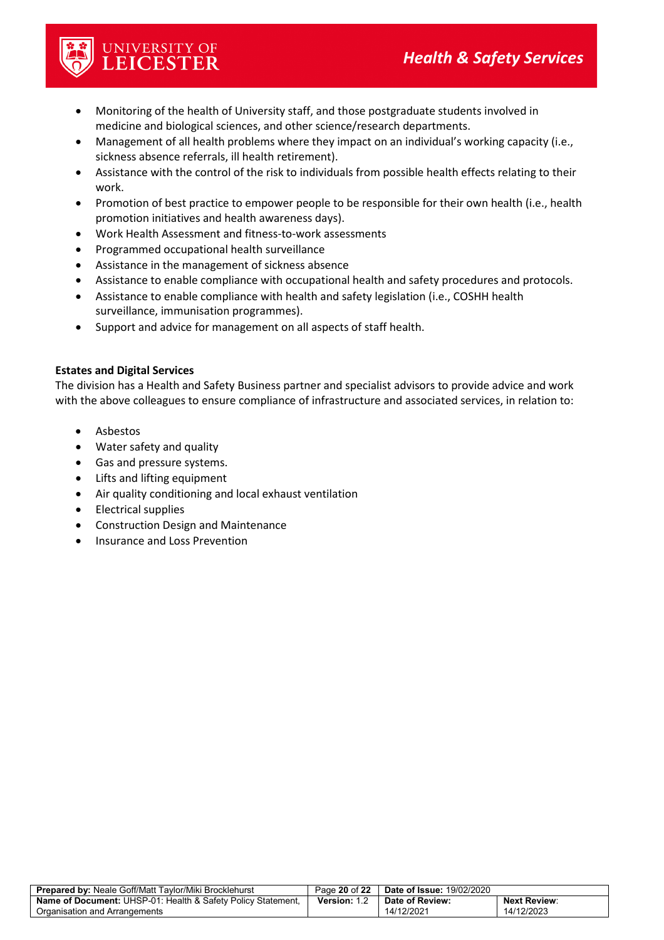

- UNIVERSITY OF<br>**LEICESTER**
- Monitoring of the health of University staff, and those postgraduate students involved in medicine and biological sciences, and other science/research departments.
- Management of all health problems where they impact on an individual's working capacity (i.e., sickness absence referrals, ill health retirement).
- Assistance with the control of the risk to individuals from possible health effects relating to their work.
- Promotion of best practice to empower people to be responsible for their own health (i.e., health promotion initiatives and health awareness days).
- Work Health Assessment and fitness-to-work assessments
- Programmed occupational health surveillance
- Assistance in the management of sickness absence
- Assistance to enable compliance with occupational health and safety procedures and protocols.
- Assistance to enable compliance with health and safety legislation (i.e., COSHH health surveillance, immunisation programmes).
- Support and advice for management on all aspects of staff health.

#### **Estates and Digital Services**

The division has a Health and Safety Business partner and specialist advisors to provide advice and work with the above colleagues to ensure compliance of infrastructure and associated services, in relation to:

- Asbestos
- Water safety and quality
- Gas and pressure systems.
- Lifts and lifting equipment
- Air quality conditioning and local exhaust ventilation
- Electrical supplies
- Construction Design and Maintenance
- Insurance and Loss Prevention

| <b>Prepared by: Neale Goff/Matt Taylor/Miki Brocklehurst</b>        | Page 20 of 22 | <b>Date of Issue: 19/02/2020</b> |                     |
|---------------------------------------------------------------------|---------------|----------------------------------|---------------------|
| <b>Name of Document:</b> UHSP-01: Health & Safety Policy Statement. | Version: 1.2  | Date of Review:                  | <b>Next Review:</b> |
| Organisation and Arrangements                                       |               | 14/12/2021                       | 14/12/2023          |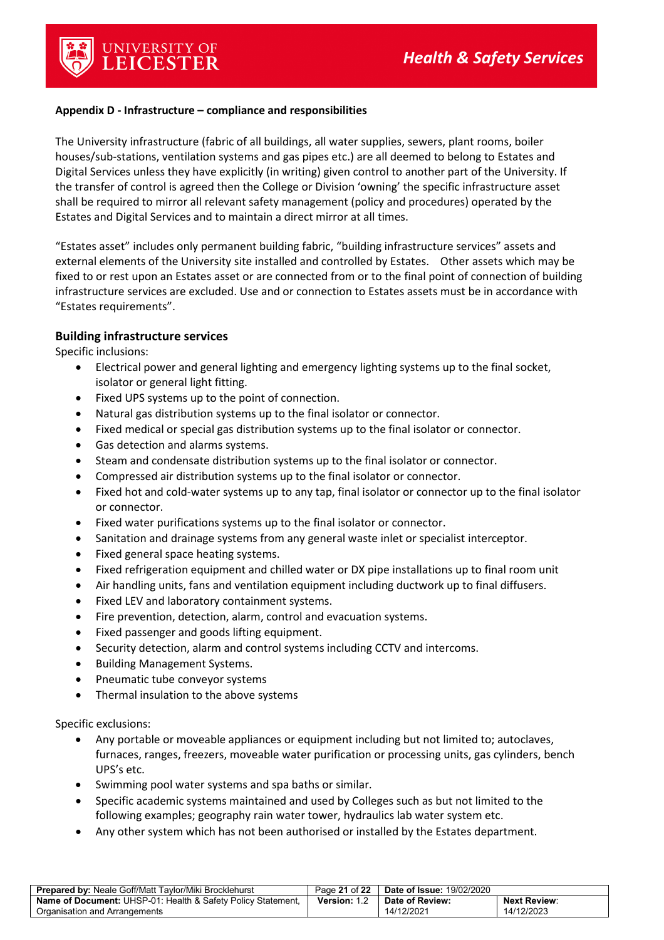

#### <span id="page-20-0"></span>**Appendix D - Infrastructure – compliance and responsibilities**

The University infrastructure (fabric of all buildings, all water supplies, sewers, plant rooms, boiler houses/sub-stations, ventilation systems and gas pipes etc.) are all deemed to belong to Estates and Digital Services unless they have explicitly (in writing) given control to another part of the University. If the transfer of control is agreed then the College or Division 'owning' the specific infrastructure asset shall be required to mirror all relevant safety management (policy and procedures) operated by the Estates and Digital Services and to maintain a direct mirror at all times.

"Estates asset" includes only permanent building fabric, "building infrastructure services" assets and external elements of the University site installed and controlled by Estates. Other assets which may be fixed to or rest upon an Estates asset or are connected from or to the final point of connection of building infrastructure services are excluded. Use and or connection to Estates assets must be in accordance with "Estates requirements".

#### **Building infrastructure services**

Specific inclusions:

- Electrical power and general lighting and emergency lighting systems up to the final socket, isolator or general light fitting.
- Fixed UPS systems up to the point of connection.
- Natural gas distribution systems up to the final isolator or connector.
- Fixed medical or special gas distribution systems up to the final isolator or connector.
- Gas detection and alarms systems.
- Steam and condensate distribution systems up to the final isolator or connector.
- Compressed air distribution systems up to the final isolator or connector.
- Fixed hot and cold-water systems up to any tap, final isolator or connector up to the final isolator or connector.
- Fixed water purifications systems up to the final isolator or connector.
- Sanitation and drainage systems from any general waste inlet or specialist interceptor.
- Fixed general space heating systems.
- Fixed refrigeration equipment and chilled water or DX pipe installations up to final room unit
- Air handling units, fans and ventilation equipment including ductwork up to final diffusers.
- Fixed LEV and laboratory containment systems.
- Fire prevention, detection, alarm, control and evacuation systems.
- Fixed passenger and goods lifting equipment.
- Security detection, alarm and control systems including CCTV and intercoms.
- Building Management Systems.
- Pneumatic tube conveyor systems
- Thermal insulation to the above systems

Specific exclusions:

- Any portable or moveable appliances or equipment including but not limited to; autoclaves, furnaces, ranges, freezers, moveable water purification or processing units, gas cylinders, bench UPS's etc.
- Swimming pool water systems and spa baths or similar.
- Specific academic systems maintained and used by Colleges such as but not limited to the following examples; geography rain water tower, hydraulics lab water system etc.
- Any other system which has not been authorised or installed by the Estates department.

| <b>Prepared by: Neale Goff/Matt Taylor/Miki Brocklehurst</b>        | Page 21 of 22       | <b>Date of Issue: 19/02/2020</b> |                     |
|---------------------------------------------------------------------|---------------------|----------------------------------|---------------------|
| <b>Name of Document:</b> UHSP-01: Health & Safety Policy Statement, | <b>Version: 1.2</b> | Date of Review:                  | <b>Next Review:</b> |
| Organisation and Arrangements                                       |                     | 14/12/2021                       | 14/12/2023          |